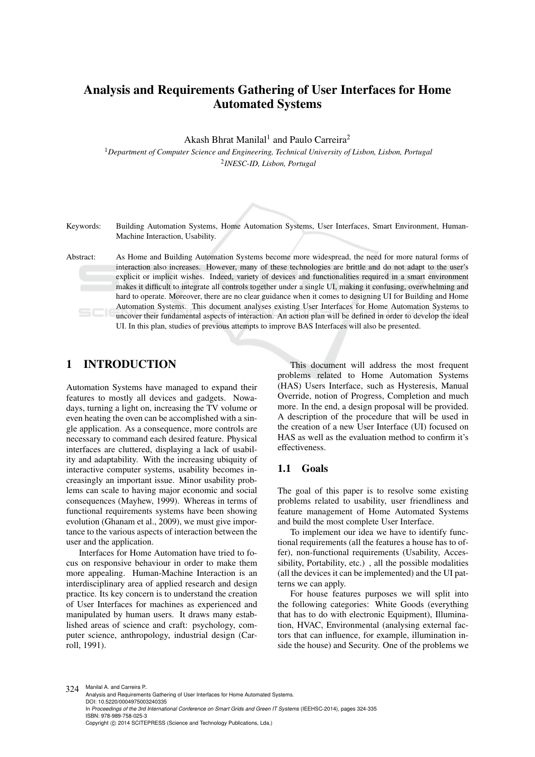# Analysis and Requirements Gathering of User Interfaces for Home Automated Systems

Akash Bhrat Manilal<sup>1</sup> and Paulo Carreira<sup>2</sup>

<sup>1</sup>*Department of Computer Science and Engineering, Technical University of Lisbon, Lisbon, Portugal* 2 *INESC-ID, Lisbon, Portugal*

Keywords: Building Automation Systems, Home Automation Systems, User Interfaces, Smart Environment, Human-Machine Interaction, Usability.

Abstract: As Home and Building Automation Systems become more widespread, the need for more natural forms of interaction also increases. However, many of these technologies are brittle and do not adapt to the user's explicit or implicit wishes. Indeed, variety of devices and functionalities required in a smart environment makes it difficult to integrate all controls together under a single UI, making it confusing, overwhelming and hard to operate. Moreover, there are no clear guidance when it comes to designing UI for Building and Home Automation Systems. This document analyses existing User Interfaces for Home Automation Systems to uncover their fundamental aspects of interaction. An action plan will be defined in order to develop the ideal UI. In this plan, studies of previous attempts to improve BAS Interfaces will also be presented.

# 1 INTRODUCTION

Automation Systems have managed to expand their features to mostly all devices and gadgets. Nowadays, turning a light on, increasing the TV volume or even heating the oven can be accomplished with a single application. As a consequence, more controls are necessary to command each desired feature. Physical interfaces are cluttered, displaying a lack of usability and adaptability. With the increasing ubiquity of interactive computer systems, usability becomes increasingly an important issue. Minor usability problems can scale to having major economic and social consequences (Mayhew, 1999). Whereas in terms of functional requirements systems have been showing evolution (Ghanam et al., 2009), we must give importance to the various aspects of interaction between the user and the application.

Interfaces for Home Automation have tried to focus on responsive behaviour in order to make them more appealing. Human-Machine Interaction is an interdisciplinary area of applied research and design practice. Its key concern is to understand the creation of User Interfaces for machines as experienced and manipulated by human users. It draws many established areas of science and craft: psychology, computer science, anthropology, industrial design (Carroll, 1991).

This document will address the most frequent problems related to Home Automation Systems (HAS) Users Interface, such as Hysteresis, Manual Override, notion of Progress, Completion and much more. In the end, a design proposal will be provided. A description of the procedure that will be used in the creation of a new User Interface (UI) focused on HAS as well as the evaluation method to confirm it's effectiveness.

#### 1.1 Goals

The goal of this paper is to resolve some existing problems related to usability, user friendliness and feature management of Home Automated Systems and build the most complete User Interface.

To implement our idea we have to identify functional requirements (all the features a house has to offer), non-functional requirements (Usability, Accessibility, Portability, etc.) , all the possible modalities (all the devices it can be implemented) and the UI patterns we can apply.

For house features purposes we will split into the following categories: White Goods (everything that has to do with electronic Equipment), Illumination, HVAC, Environmental (analysing external factors that can influence, for example, illumination inside the house) and Security. One of the problems we

324 Manilal A. and Carreira P. Analysis and Requirements Gathering of User Interfaces for Home Automated Systems. DOI: 10.5220/0004975003240335 In *Proceedings of the 3rd International Conference on Smart Grids and Green IT Systems* (IEEHSC-2014), pages 324-335 ISBN: 978-989-758-025-3 Copyright © 2014 SCITEPRESS (Science and Technology Publications, Lda.)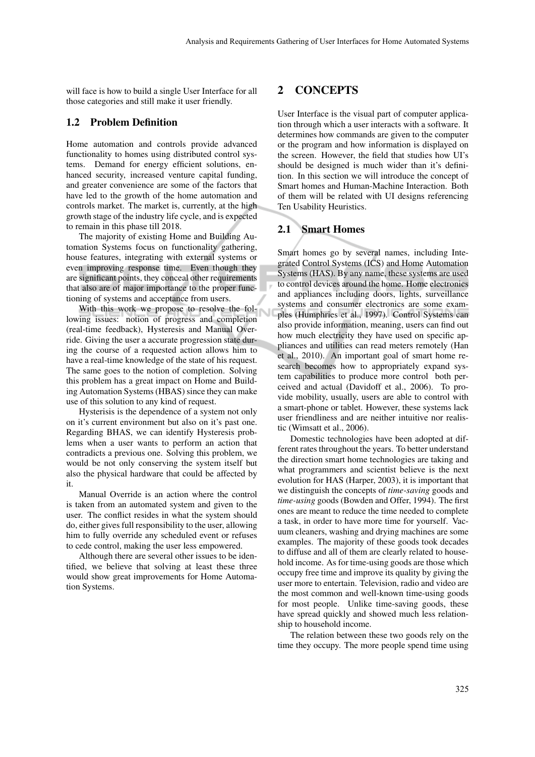will face is how to build a single User Interface for all those categories and still make it user friendly.

#### 1.2 Problem Definition

Home automation and controls provide advanced functionality to homes using distributed control systems. Demand for energy efficient solutions, enhanced security, increased venture capital funding, and greater convenience are some of the factors that have led to the growth of the home automation and controls market. The market is, currently, at the high growth stage of the industry life cycle, and is expected to remain in this phase till 2018.

The majority of existing Home and Building Automation Systems focus on functionality gathering, house features, integrating with external systems or even improving response time. Even though they are significant points, they conceal other requirements that also are of major importance to the proper functioning of systems and acceptance from users.

With this work we propose to resolve the following issues: notion of progress and completion (real-time feedback), Hysteresis and Manual Override. Giving the user a accurate progression state during the course of a requested action allows him to have a real-time knowledge of the state of his request. The same goes to the notion of completion. Solving this problem has a great impact on Home and Building Automation Systems (HBAS) since they can make use of this solution to any kind of request.

Hysterisis is the dependence of a system not only on it's current environment but also on it's past one. Regarding BHAS, we can identify Hysteresis problems when a user wants to perform an action that contradicts a previous one. Solving this problem, we would be not only conserving the system itself but also the physical hardware that could be affected by it.

Manual Override is an action where the control is taken from an automated system and given to the user. The conflict resides in what the system should do, either gives full responsibility to the user, allowing him to fully override any scheduled event or refuses to cede control, making the user less empowered.

Although there are several other issues to be identified, we believe that solving at least these three would show great improvements for Home Automation Systems.

# 2 CONCEPTS

User Interface is the visual part of computer application through which a user interacts with a software. It determines how commands are given to the computer or the program and how information is displayed on the screen. However, the field that studies how UI's should be designed is much wider than it's definition. In this section we will introduce the concept of Smart homes and Human-Machine Interaction. Both of them will be related with UI designs referencing Ten Usability Heuristics.

#### 2.1 Smart Homes

Smart homes go by several names, including Integrated Control Systems (ICS) and Home Automation Systems (HAS). By any name, these systems are used to control devices around the home. Home electronics and appliances including doors, lights, surveillance systems and consumer electronics are some examples (Humphries et al., 1997). Control Systems can also provide information, meaning, users can find out how much electricity they have used on specific appliances and utilities can read meters remotely (Han et al., 2010). An important goal of smart home research becomes how to appropriately expand system capabilities to produce more control both perceived and actual (Davidoff et al., 2006). To provide mobility, usually, users are able to control with a smart-phone or tablet. However, these systems lack user friendliness and are neither intuitive nor realistic (Wimsatt et al., 2006).

Domestic technologies have been adopted at different rates throughout the years. To better understand the direction smart home technologies are taking and what programmers and scientist believe is the next evolution for HAS (Harper, 2003), it is important that we distinguish the concepts of *time-saving* goods and *time-using* goods (Bowden and Offer, 1994). The first ones are meant to reduce the time needed to complete a task, in order to have more time for yourself. Vacuum cleaners, washing and drying machines are some examples. The majority of these goods took decades to diffuse and all of them are clearly related to household income. As for time-using goods are those which occupy free time and improve its quality by giving the user more to entertain. Television, radio and video are the most common and well-known time-using goods for most people. Unlike time-saving goods, these have spread quickly and showed much less relationship to household income.

The relation between these two goods rely on the time they occupy. The more people spend time using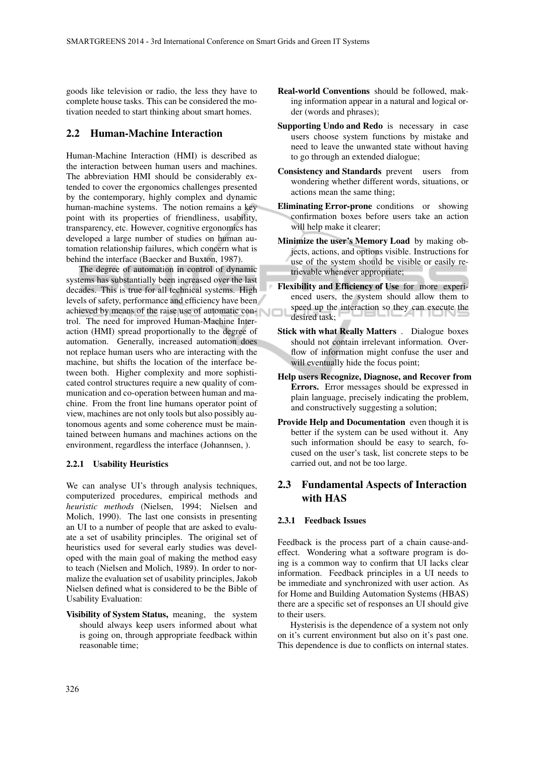goods like television or radio, the less they have to complete house tasks. This can be considered the motivation needed to start thinking about smart homes.

#### 2.2 Human-Machine Interaction

Human-Machine Interaction (HMI) is described as the interaction between human users and machines. The abbreviation HMI should be considerably extended to cover the ergonomics challenges presented by the contemporary, highly complex and dynamic human-machine systems. The notion remains a key point with its properties of friendliness, usability, transparency, etc. However, cognitive ergonomics has developed a large number of studies on human automation relationship failures, which concern what is behind the interface (Baecker and Buxton, 1987).

The degree of automation in control of dynamic systems has substantially been increased over the last decades. This is true for all technical systems. High levels of safety, performance and efficiency have been achieved by means of the raise use of automatic control. The need for improved Human-Machine Interaction (HMI) spread proportionally to the degree of automation. Generally, increased automation does not replace human users who are interacting with the machine, but shifts the location of the interface between both. Higher complexity and more sophisticated control structures require a new quality of communication and co-operation between human and machine. From the front line humans operator point of view, machines are not only tools but also possibly autonomous agents and some coherence must be maintained between humans and machines actions on the environment, regardless the interface (Johannsen, ).

#### 2.2.1 Usability Heuristics

We can analyse UI's through analysis techniques, computerized procedures, empirical methods and *heuristic methods* (Nielsen, 1994; Nielsen and Molich, 1990). The last one consists in presenting an UI to a number of people that are asked to evaluate a set of usability principles. The original set of heuristics used for several early studies was developed with the main goal of making the method easy to teach (Nielsen and Molich, 1989). In order to normalize the evaluation set of usability principles, Jakob Nielsen defined what is considered to be the Bible of Usability Evaluation:

Visibility of System Status, meaning, the system should always keep users informed about what is going on, through appropriate feedback within reasonable time;

- Real-world Conventions should be followed, making information appear in a natural and logical order (words and phrases);
- Supporting Undo and Redo is necessary in case users choose system functions by mistake and need to leave the unwanted state without having to go through an extended dialogue;
- Consistency and Standards prevent users from wondering whether different words, situations, or actions mean the same thing;
- Eliminating Error-prone conditions or showing confirmation boxes before users take an action will help make it clearer;
- Minimize the user's Memory Load by making objects, actions, and options visible. Instructions for use of the system should be visible or easily retrievable whenever appropriate;
- Flexibility and Efficiency of Use for more experienced users, the system should allow them to speed up the interaction so they can execute the desired task;
- Stick with what Really Matters . Dialogue boxes should not contain irrelevant information. Overflow of information might confuse the user and will eventually hide the focus point;
- Help users Recognize, Diagnose, and Recover from Errors. Error messages should be expressed in plain language, precisely indicating the problem, and constructively suggesting a solution;
- Provide Help and Documentation even though it is better if the system can be used without it. Any such information should be easy to search, focused on the user's task, list concrete steps to be carried out, and not be too large.

# 2.3 Fundamental Aspects of Interaction with HAS

#### 2.3.1 Feedback Issues

Feedback is the process part of a chain cause-andeffect. Wondering what a software program is doing is a common way to confirm that UI lacks clear information. Feedback principles in a UI needs to be immediate and synchronized with user action. As for Home and Building Automation Systems (HBAS) there are a specific set of responses an UI should give to their users.

Hysterisis is the dependence of a system not only on it's current environment but also on it's past one. This dependence is due to conflicts on internal states.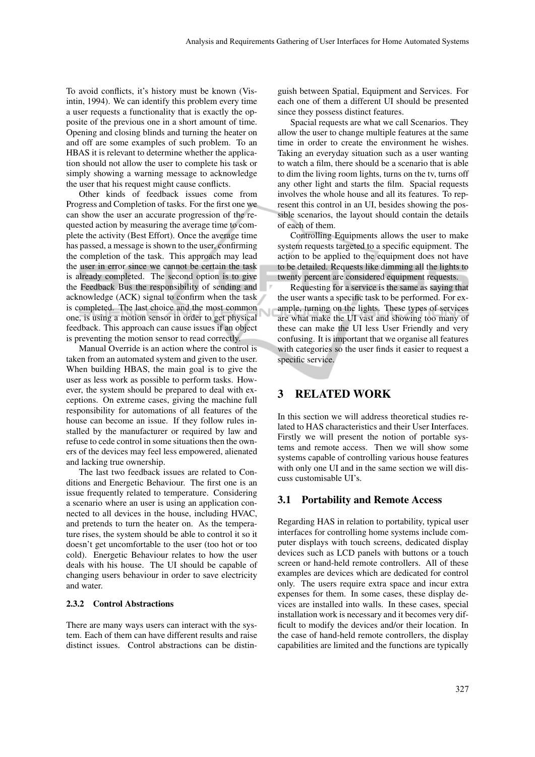To avoid conflicts, it's history must be known (Visintin, 1994). We can identify this problem every time a user requests a functionality that is exactly the opposite of the previous one in a short amount of time. Opening and closing blinds and turning the heater on and off are some examples of such problem. To an HBAS it is relevant to determine whether the application should not allow the user to complete his task or simply showing a warning message to acknowledge the user that his request might cause conflicts.

Other kinds of feedback issues come from Progress and Completion of tasks. For the first one we can show the user an accurate progression of the requested action by measuring the average time to complete the activity (Best Effort). Once the average time has passed, a message is shown to the user, confirming the completion of the task. This approach may lead the user in error since we cannot be certain the task is already completed. The second option is to give the Feedback Bus the responsibility of sending and acknowledge (ACK) signal to confirm when the task is completed. The last choice and the most common one, is using a motion sensor in order to get physical feedback. This approach can cause issues if an object is preventing the motion sensor to read correctly.

Manual Override is an action where the control is taken from an automated system and given to the user. When building HBAS, the main goal is to give the user as less work as possible to perform tasks. However, the system should be prepared to deal with exceptions. On extreme cases, giving the machine full responsibility for automations of all features of the house can become an issue. If they follow rules installed by the manufacturer or required by law and refuse to cede control in some situations then the owners of the devices may feel less empowered, alienated and lacking true ownership.

The last two feedback issues are related to Conditions and Energetic Behaviour. The first one is an issue frequently related to temperature. Considering a scenario where an user is using an application connected to all devices in the house, including HVAC, and pretends to turn the heater on. As the temperature rises, the system should be able to control it so it doesn't get uncomfortable to the user (too hot or too cold). Energetic Behaviour relates to how the user deals with his house. The UI should be capable of changing users behaviour in order to save electricity and water.

#### 2.3.2 Control Abstractions

There are many ways users can interact with the system. Each of them can have different results and raise distinct issues. Control abstractions can be distinguish between Spatial, Equipment and Services. For each one of them a different UI should be presented since they possess distinct features.

Spacial requests are what we call Scenarios. They allow the user to change multiple features at the same time in order to create the environment he wishes. Taking an everyday situation such as a user wanting to watch a film, there should be a scenario that is able to dim the living room lights, turns on the tv, turns off any other light and starts the film. Spacial requests involves the whole house and all its features. To represent this control in an UI, besides showing the possible scenarios, the layout should contain the details of each of them.

Controlling Equipments allows the user to make system requests targeted to a specific equipment. The action to be applied to the equipment does not have to be detailed. Requests like dimming all the lights to twenty percent are considered equipment requests.

Requesting for a service is the same as saying that the user wants a specific task to be performed. For example, turning on the lights. These types of services are what make the UI vast and showing too many of these can make the UI less User Friendly and very confusing. It is important that we organise all features with categories so the user finds it easier to request a specific service.

# 3 RELATED WORK

In this section we will address theoretical studies related to HAS characteristics and their User Interfaces. Firstly we will present the notion of portable systems and remote access. Then we will show some systems capable of controlling various house features with only one UI and in the same section we will discuss customisable UI's.

#### 3.1 Portability and Remote Access

Regarding HAS in relation to portability, typical user interfaces for controlling home systems include computer displays with touch screens, dedicated display devices such as LCD panels with buttons or a touch screen or hand-held remote controllers. All of these examples are devices which are dedicated for control only. The users require extra space and incur extra expenses for them. In some cases, these display devices are installed into walls. In these cases, special installation work is necessary and it becomes very difficult to modify the devices and/or their location. In the case of hand-held remote controllers, the display capabilities are limited and the functions are typically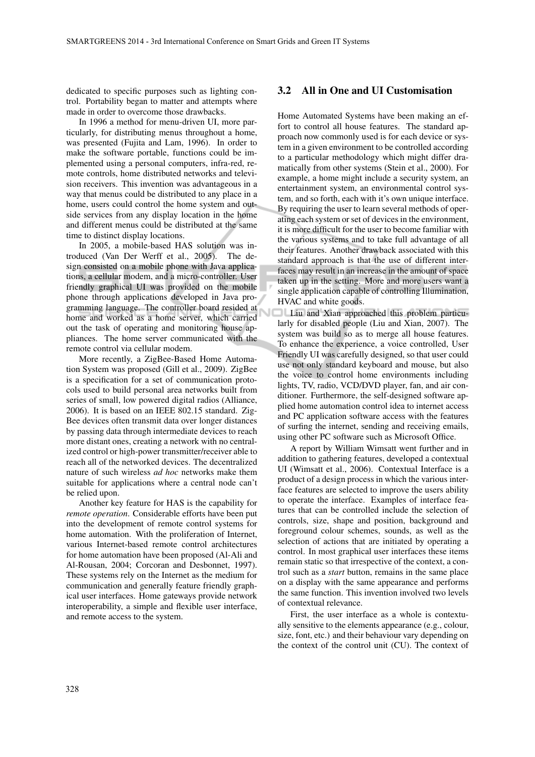dedicated to specific purposes such as lighting control. Portability began to matter and attempts where made in order to overcome those drawbacks.

In 1996 a method for menu-driven UI, more particularly, for distributing menus throughout a home, was presented (Fujita and Lam, 1996). In order to make the software portable, functions could be implemented using a personal computers, infra-red, remote controls, home distributed networks and television receivers. This invention was advantageous in a way that menus could be distributed to any place in a home, users could control the home system and outside services from any display location in the home and different menus could be distributed at the same time to distinct display locations.

In 2005, a mobile-based HAS solution was introduced (Van Der Werff et al., 2005). The design consisted on a mobile phone with Java applications, a cellular modem, and a micro-controller. User friendly graphical UI was provided on the mobile phone through applications developed in Java programming language. The controller board resided at home and worked as a home server, which carried out the task of operating and monitoring house appliances. The home server communicated with the remote control via cellular modem.

More recently, a ZigBee-Based Home Automation System was proposed (Gill et al., 2009). ZigBee is a specification for a set of communication protocols used to build personal area networks built from series of small, low powered digital radios (Alliance, 2006). It is based on an IEEE 802.15 standard. Zig-Bee devices often transmit data over longer distances by passing data through intermediate devices to reach more distant ones, creating a network with no centralized control or high-power transmitter/receiver able to reach all of the networked devices. The decentralized nature of such wireless *ad hoc* networks make them suitable for applications where a central node can't be relied upon.

Another key feature for HAS is the capability for *remote operation*. Considerable efforts have been put into the development of remote control systems for home automation. With the proliferation of Internet, various Internet-based remote control architectures for home automation have been proposed (Al-Ali and Al-Rousan, 2004; Corcoran and Desbonnet, 1997). These systems rely on the Internet as the medium for communication and generally feature friendly graphical user interfaces. Home gateways provide network interoperability, a simple and flexible user interface, and remote access to the system.

#### 3.2 All in One and UI Customisation

Home Automated Systems have been making an effort to control all house features. The standard approach now commonly used is for each device or system in a given environment to be controlled according to a particular methodology which might differ dramatically from other systems (Stein et al., 2000). For example, a home might include a security system, an entertainment system, an environmental control system, and so forth, each with it's own unique interface. By requiring the user to learn several methods of operating each system or set of devices in the environment, it is more difficult for the user to become familiar with the various systems and to take full advantage of all their features. Another drawback associated with this standard approach is that the use of different interfaces may result in an increase in the amount of space taken up in the setting. More and more users want a single application capable of controlling Illumination, HVAC and white goods.

Liu and Xian approached this problem particularly for disabled people (Liu and Xian, 2007). The system was build so as to merge all house features. To enhance the experience, a voice controlled, User Friendly UI was carefully designed, so that user could use not only standard keyboard and mouse, but also the voice to control home environments including lights, TV, radio, VCD/DVD player, fan, and air conditioner. Furthermore, the self-designed software applied home automation control idea to internet access and PC application software access with the features of surfing the internet, sending and receiving emails, using other PC software such as Microsoft Office.

A report by William Wimsatt went further and in addition to gathering features, developed a contextual UI (Wimsatt et al., 2006). Contextual Interface is a product of a design process in which the various interface features are selected to improve the users ability to operate the interface. Examples of interface features that can be controlled include the selection of controls, size, shape and position, background and foreground colour schemes, sounds, as well as the selection of actions that are initiated by operating a control. In most graphical user interfaces these items remain static so that irrespective of the context, a control such as a *start* button, remains in the same place on a display with the same appearance and performs the same function. This invention involved two levels of contextual relevance.

First, the user interface as a whole is contextually sensitive to the elements appearance (e.g., colour, size, font, etc.) and their behaviour vary depending on the context of the control unit (CU). The context of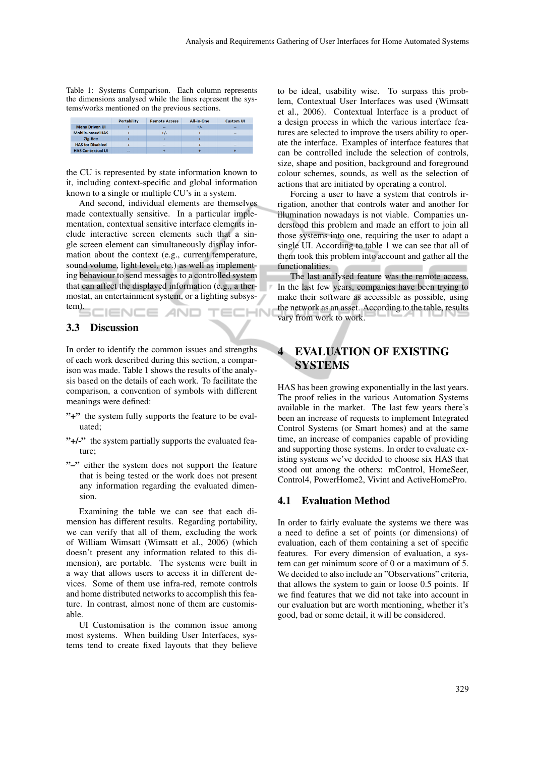Table 1: Systems Comparison. Each column represents the dimensions analysed while the lines represent the systems/works mentioned on the previous sections.

|                          | <b>Portability</b> | <b>Remote Access</b> | All-in-One | <b>Custom UI</b> |  |
|--------------------------|--------------------|----------------------|------------|------------------|--|
| <b>Menu Driven UI</b>    |                    | --                   |            | $-$              |  |
| <b>Mobile-based HAS</b>  |                    |                      |            | --               |  |
| Zig-Bee                  |                    |                      |            | -                |  |
| <b>HAS for Disabled</b>  |                    | $\sim$               |            | --               |  |
| <b>HAS Contextual UI</b> | $-$                |                      |            |                  |  |

the CU is represented by state information known to it, including context-specific and global information known to a single or multiple CU's in a system.

And second, individual elements are themselves made contextually sensitive. In a particular implementation, contextual sensitive interface elements include interactive screen elements such that a single screen element can simultaneously display information about the context (e.g., current temperature, sound volume, light level, etc.) as well as implementing behaviour to send messages to a controlled system that can affect the displayed information (e.g., a thermostat, an entertainment system, or a lighting subsystem). **IENCE AND** ECHN

# 3.3 Discussion

In order to identify the common issues and strengths of each work described during this section, a comparison was made. Table 1 shows the results of the analysis based on the details of each work. To facilitate the comparison, a convention of symbols with different meanings were defined:

- "<sup>+</sup>" the system fully supports the feature to be evaluated;
- "+/-" the system partially supports the evaluated feature;
- "-" either the system does not support the feature that is being tested or the work does not present any information regarding the evaluated dimension.

Examining the table we can see that each dimension has different results. Regarding portability, we can verify that all of them, excluding the work of William Wimsatt (Wimsatt et al., 2006) (which doesn't present any information related to this dimension), are portable. The systems were built in a way that allows users to access it in different devices. Some of them use infra-red, remote controls and home distributed networks to accomplish this feature. In contrast, almost none of them are customisable.

UI Customisation is the common issue among most systems. When building User Interfaces, systems tend to create fixed layouts that they believe

to be ideal, usability wise. To surpass this problem, Contextual User Interfaces was used (Wimsatt et al., 2006). Contextual Interface is a product of a design process in which the various interface features are selected to improve the users ability to operate the interface. Examples of interface features that can be controlled include the selection of controls, size, shape and position, background and foreground colour schemes, sounds, as well as the selection of actions that are initiated by operating a control.

Forcing a user to have a system that controls irrigation, another that controls water and another for illumination nowadays is not viable. Companies understood this problem and made an effort to join all those systems into one, requiring the user to adapt a single UI. According to table 1 we can see that all of them took this problem into account and gather all the functionalities.

The last analysed feature was the remote access. In the last few years, companies have been trying to make their software as accessible as possible, using the network as an asset. According to the table, results vary from work to work.

# **EVALUATION OF EXISTING** SYSTEMS

HAS has been growing exponentially in the last years. The proof relies in the various Automation Systems available in the market. The last few years there's been an increase of requests to implement Integrated Control Systems (or Smart homes) and at the same time, an increase of companies capable of providing and supporting those systems. In order to evaluate existing systems we've decided to choose six HAS that stood out among the others: mControl, HomeSeer, Control4, PowerHome2, Vivint and ActiveHomePro.

#### 4.1 Evaluation Method

In order to fairly evaluate the systems we there was a need to define a set of points (or dimensions) of evaluation, each of them containing a set of specific features. For every dimension of evaluation, a system can get minimum score of 0 or a maximum of 5. We decided to also include an "Observations" criteria, that allows the system to gain or loose 0.5 points. If we find features that we did not take into account in our evaluation but are worth mentioning, whether it's good, bad or some detail, it will be considered.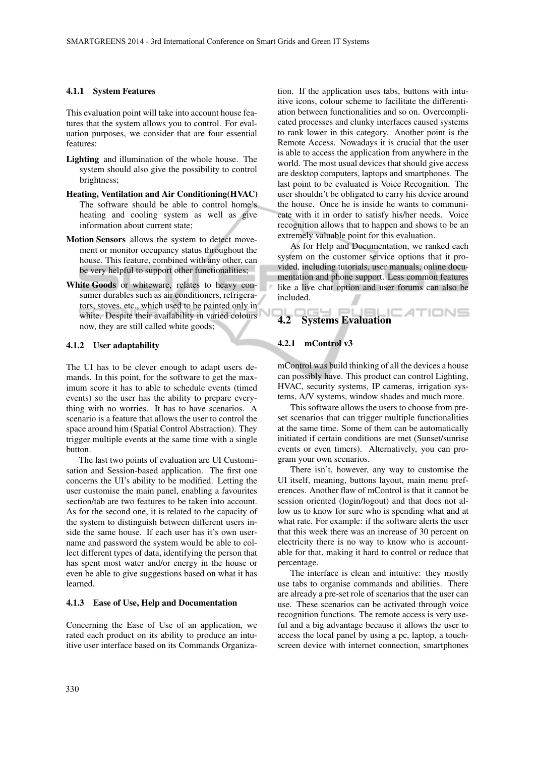#### 4.1.1 System Features

This evaluation point will take into account house features that the system allows you to control. For evaluation purposes, we consider that are four essential features:

- Lighting and illumination of the whole house. The system should also give the possibility to control brightness;
- Heating, Ventilation and Air Conditioning(HVAC) The software should be able to control home's heating and cooling system as well as give information about current state;
- Motion Sensors allows the system to detect movement or monitor occupancy status throughout the house. This feature, combined with any other, can be very helpful to support other functionalities;
- White Goods or whiteware, relates to heavy consumer durables such as air conditioners, refrigerators, stoves, etc., which used to be painted only in white. Despite their availability in varied colours now, they are still called white goods;

#### 4.1.2 User adaptability

The UI has to be clever enough to adapt users demands. In this point, for the software to get the maximum score it has to able to schedule events (timed events) so the user has the ability to prepare everything with no worries. It has to have scenarios. A scenario is a feature that allows the user to control the space around him (Spatial Control Abstraction). They trigger multiple events at the same time with a single button.

The last two points of evaluation are UI Customisation and Session-based application. The first one concerns the UI's ability to be modified. Letting the user customise the main panel, enabling a favourites section/tab are two features to be taken into account. As for the second one, it is related to the capacity of the system to distinguish between different users inside the same house. If each user has it's own username and password the system would be able to collect different types of data, identifying the person that has spent most water and/or energy in the house or even be able to give suggestions based on what it has learned.

#### 4.1.3 Ease of Use, Help and Documentation

Concerning the Ease of Use of an application, we rated each product on its ability to produce an intuitive user interface based on its Commands Organiza-

tion. If the application uses tabs, buttons with intuitive icons, colour scheme to facilitate the differentiation between functionalities and so on. Overcomplicated processes and clunky interfaces caused systems to rank lower in this category. Another point is the Remote Access. Nowadays it is crucial that the user is able to access the application from anywhere in the world. The most usual devices that should give access are desktop computers, laptops and smartphones. The last point to be evaluated is Voice Recognition. The user shouldn't be obligated to carry his device around the house. Once he is inside he wants to communicate with it in order to satisfy his/her needs. Voice recognition allows that to happen and shows to be an extremely valuable point for this evaluation.

As for Help and Documentation, we ranked each system on the customer service options that it provided, including tutorials, user manuals, online documentation and phone support. Less common features like a live chat option and user forums can also be included.

# 4.2 Systems Evaluation

#### 4.2.1 mControl v3

mControl was build thinking of all the devices a house can possibly have. This product can control Lighting, HVAC, security systems, IP cameras, irrigation systems, A/V systems, window shades and much more.

This software allows the users to choose from preset scenarios that can trigger multiple functionalities at the same time. Some of them can be automatically initiated if certain conditions are met (Sunset/sunrise events or even timers). Alternatively, you can program your own scenarios.

There isn't, however, any way to customise the UI itself, meaning, buttons layout, main menu preferences. Another flaw of mControl is that it cannot be session oriented (login/logout) and that does not allow us to know for sure who is spending what and at what rate. For example: if the software alerts the user that this week there was an increase of 30 percent on electricity there is no way to know who is accountable for that, making it hard to control or reduce that percentage.

The interface is clean and intuitive: they mostly use tabs to organise commands and abilities. There are already a pre-set role of scenarios that the user can use. These scenarios can be activated through voice recognition functions. The remote access is very useful and a big advantage because it allows the user to access the local panel by using a pc, laptop, a touchscreen device with internet connection, smartphones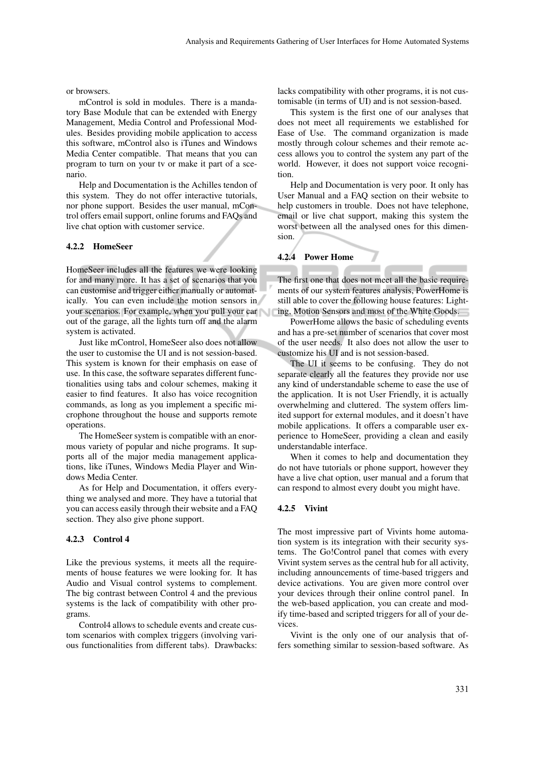or browsers.

mControl is sold in modules. There is a mandatory Base Module that can be extended with Energy Management, Media Control and Professional Modules. Besides providing mobile application to access this software, mControl also is iTunes and Windows Media Center compatible. That means that you can program to turn on your tv or make it part of a scenario.

Help and Documentation is the Achilles tendon of this system. They do not offer interactive tutorials, nor phone support. Besides the user manual, mControl offers email support, online forums and FAQs and live chat option with customer service.

#### 4.2.2 HomeSeer

HomeSeer includes all the features we were looking for and many more. It has a set of scenarios that you can customise and trigger either manually or automatically. You can even include the motion sensors in your scenarios. For example, when you pull your car out of the garage, all the lights turn off and the alarm system is activated.

Just like mControl, HomeSeer also does not allow the user to customise the UI and is not session-based. This system is known for their emphasis on ease of use. In this case, the software separates different functionalities using tabs and colour schemes, making it easier to find features. It also has voice recognition commands, as long as you implement a specific microphone throughout the house and supports remote operations.

The HomeSeer system is compatible with an enormous variety of popular and niche programs. It supports all of the major media management applications, like iTunes, Windows Media Player and Windows Media Center.

As for Help and Documentation, it offers everything we analysed and more. They have a tutorial that you can access easily through their website and a FAQ section. They also give phone support.

#### 4.2.3 Control 4

Like the previous systems, it meets all the requirements of house features we were looking for. It has Audio and Visual control systems to complement. The big contrast between Control 4 and the previous systems is the lack of compatibility with other programs.

Control4 allows to schedule events and create custom scenarios with complex triggers (involving various functionalities from different tabs). Drawbacks: lacks compatibility with other programs, it is not customisable (in terms of UI) and is not session-based.

This system is the first one of our analyses that does not meet all requirements we established for Ease of Use. The command organization is made mostly through colour schemes and their remote access allows you to control the system any part of the world. However, it does not support voice recognition.

Help and Documentation is very poor. It only has User Manual and a FAQ section on their website to help customers in trouble. Does not have telephone, email or live chat support, making this system the worst between all the analysed ones for this dimension.

#### 4.2.4 Power Home

The first one that does not meet all the basic requirements of our system features analysis, PowerHome is still able to cover the following house features: Lighting, Motion Sensors and most of the White Goods.

PowerHome allows the basic of scheduling events and has a pre-set number of scenarios that cover most of the user needs. It also does not allow the user to customize his UI and is not session-based.

The UI it seems to be confusing. They do not separate clearly all the features they provide nor use any kind of understandable scheme to ease the use of the application. It is not User Friendly, it is actually overwhelming and cluttered. The system offers limited support for external modules, and it doesn't have mobile applications. It offers a comparable user experience to HomeSeer, providing a clean and easily understandable interface.

When it comes to help and documentation they do not have tutorials or phone support, however they have a live chat option, user manual and a forum that can respond to almost every doubt you might have.

#### 4.2.5 Vivint

The most impressive part of Vivints home automation system is its integration with their security systems. The Go!Control panel that comes with every Vivint system serves as the central hub for all activity, including announcements of time-based triggers and device activations. You are given more control over your devices through their online control panel. In the web-based application, you can create and modify time-based and scripted triggers for all of your devices.

Vivint is the only one of our analysis that offers something similar to session-based software. As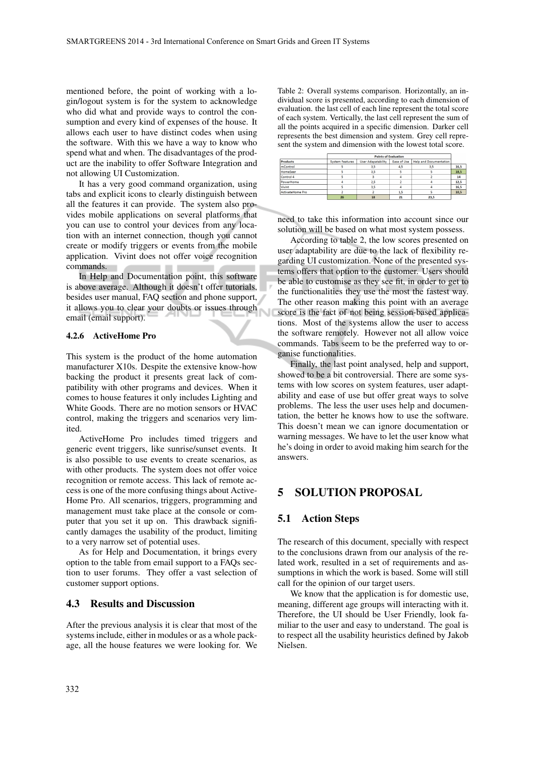mentioned before, the point of working with a login/logout system is for the system to acknowledge who did what and provide ways to control the consumption and every kind of expenses of the house. It allows each user to have distinct codes when using the software. With this we have a way to know who spend what and when. The disadvantages of the product are the inability to offer Software Integration and not allowing UI Customization.

It has a very good command organization, using tabs and explicit icons to clearly distinguish between all the features it can provide. The system also provides mobile applications on several platforms that you can use to control your devices from any location with an internet connection, though you cannot create or modify triggers or events from the mobile application. Vivint does not offer voice recognition commands.

In Help and Documentation point, this software is above average. Although it doesn't offer tutorials, besides user manual, FAQ section and phone support, it allows you to clear your doubts or issues through email (email support).

#### 4.2.6 ActiveHome Pro

This system is the product of the home automation manufacturer X10s. Despite the extensive know-how backing the product it presents great lack of compatibility with other programs and devices. When it comes to house features it only includes Lighting and White Goods. There are no motion sensors or HVAC control, making the triggers and scenarios very limited.

ActiveHome Pro includes timed triggers and generic event triggers, like sunrise/sunset events. It is also possible to use events to create scenarios, as with other products. The system does not offer voice recognition or remote access. This lack of remote access is one of the more confusing things about Active-Home Pro. All scenarios, triggers, programming and management must take place at the console or computer that you set it up on. This drawback significantly damages the usability of the product, limiting to a very narrow set of potential uses.

As for Help and Documentation, it brings every option to the table from email support to a FAQs section to user forums. They offer a vast selection of customer support options.

#### 4.3 Results and Discussion

After the previous analysis it is clear that most of the systems include, either in modules or as a whole package, all the house features we were looking for. We Table 2: Overall systems comparison. Horizontally, an individual score is presented, according to each dimension of evaluation. the last cell of each line represent the total score of each system. Vertically, the last cell represent the sum of all the points acquired in a specific dimension. Darker cell represents the best dimension and system. Grey cell represent the system and dimension with the lowest total score.

|                  | <b>Points of Evaluation</b> |                           |             |                               |      |
|------------------|-----------------------------|---------------------------|-------------|-------------------------------|------|
| <b>Products</b>  | <b>System Features</b>      | <b>User Adapatability</b> | Ease of Use | <b>Help and Documentation</b> |      |
| mControl         |                             | 3,5                       | 4,5         | 3,5                           | 16.5 |
| HomeSeer         |                             | 3.5                       |             |                               | 18.5 |
| Control 4        |                             |                           |             |                               | 14   |
| PowerHome        |                             | 2.5                       |             |                               | 12.5 |
| Vivint           |                             | 3,5                       |             |                               | 16,5 |
| ActivateHome Pro |                             |                           | 1,5         |                               | 10,5 |
|                  | 26                          | 18                        | 21          | 23,5                          |      |

need to take this information into account since our solution will be based on what most system possess.

According to table 2, the low scores presented on user adaptability are due to the lack of flexibility regarding UI customization. None of the presented systems offers that option to the customer. Users should be able to customise as they see fit, in order to get to the functionalities they use the most the fastest way. The other reason making this point with an average score is the fact of not being session-based applications. Most of the systems allow the user to access the software remotely. However not all allow voice commands. Tabs seem to be the preferred way to organise functionalities.

Finally, the last point analysed, help and support, showed to be a bit controversial. There are some systems with low scores on system features, user adaptability and ease of use but offer great ways to solve problems. The less the user uses help and documentation, the better he knows how to use the software. This doesn't mean we can ignore documentation or warning messages. We have to let the user know what he's doing in order to avoid making him search for the answers.

# 5 SOLUTION PROPOSAL

#### 5.1 Action Steps

The research of this document, specially with respect to the conclusions drawn from our analysis of the related work, resulted in a set of requirements and assumptions in which the work is based. Some will still call for the opinion of our target users.

We know that the application is for domestic use, meaning, different age groups will interacting with it. Therefore, the UI should be User Friendly, look familiar to the user and easy to understand. The goal is to respect all the usability heuristics defined by Jakob Nielsen.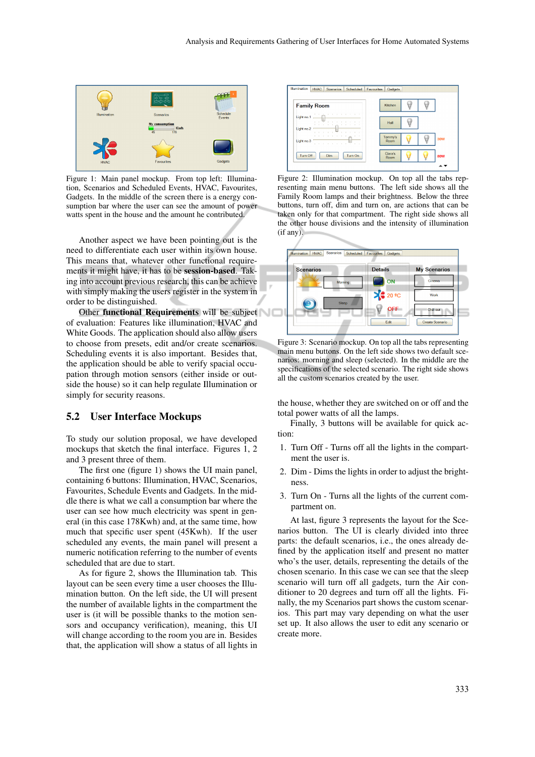

Figure 1: Main panel mockup. From top left: Illumination, Scenarios and Scheduled Events, HVAC, Favourites, Gadgets. In the middle of the screen there is a energy consumption bar where the user can see the amount of power watts spent in the house and the amount he contributed.

Another aspect we have been pointing out is the need to differentiate each user within its own house. This means that, whatever other functional requirements it might have, it has to be session-based. Taking into account previous research, this can be achieve with simply making the users register in the system in order to be distinguished.

Other functional Requirements will be subject of evaluation: Features like illumination, HVAC and White Goods. The application should also allow users to choose from presets, edit and/or create scenarios. Scheduling events it is also important. Besides that, the application should be able to verify spacial occupation through motion sensors (either inside or outside the house) so it can help regulate Illumination or simply for security reasons.

#### 5.2 User Interface Mockups

To study our solution proposal, we have developed mockups that sketch the final interface. Figures 1, 2 and 3 present three of them.

The first one (figure 1) shows the UI main panel, containing 6 buttons: Illumination, HVAC, Scenarios, Favourites, Schedule Events and Gadgets. In the middle there is what we call a consumption bar where the user can see how much electricity was spent in general (in this case 178Kwh) and, at the same time, how much that specific user spent (45Kwh). If the user scheduled any events, the main panel will present a numeric notification referring to the number of events scheduled that are due to start.

As for figure 2, shows the Illumination tab. This layout can be seen every time a user chooses the Illumination button. On the left side, the UI will present the number of available lights in the compartment the user is (it will be possible thanks to the motion sensors and occupancy verification), meaning, this UI will change according to the room you are in. Besides that, the application will show a status of all lights in



Figure 2: Illumination mockup. On top all the tabs representing main menu buttons. The left side shows all the Family Room lamps and their brightness. Below the three buttons, turn off, dim and turn on, are actions that can be taken only for that compartment. The right side shows all the other house divisions and the intensity of illumination (if any).



Figure 3: Scenario mockup. On top all the tabs representing main menu buttons. On the left side shows two default scenarios: morning and sleep (selected). In the middle are the specifications of the selected scenario. The right side shows all the custom scenarios created by the user.

the house, whether they are switched on or off and the total power watts of all the lamps.

Finally, 3 buttons will be available for quick action:

- 1. Turn Off Turns off all the lights in the compartment the user is.
- 2. Dim Dims the lights in order to adjust the brightness.
- 3. Turn On Turns all the lights of the current compartment on.

At last, figure 3 represents the layout for the Scenarios button. The UI is clearly divided into three parts: the default scenarios, i.e., the ones already defined by the application itself and present no matter who's the user, details, representing the details of the chosen scenario. In this case we can see that the sleep scenario will turn off all gadgets, turn the Air conditioner to 20 degrees and turn off all the lights. Finally, the my Scenarios part shows the custom scenarios. This part may vary depending on what the user set up. It also allows the user to edit any scenario or create more.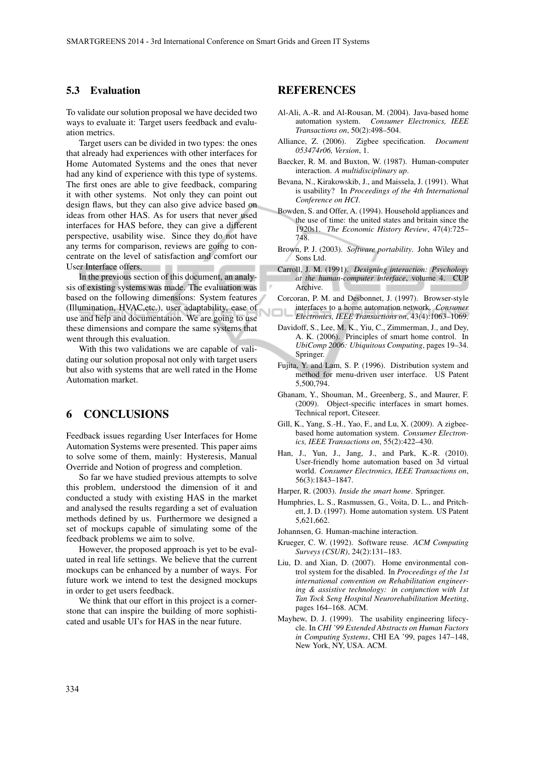#### 5.3 Evaluation

To validate our solution proposal we have decided two ways to evaluate it: Target users feedback and evaluation metrics.

Target users can be divided in two types: the ones that already had experiences with other interfaces for Home Automated Systems and the ones that never had any kind of experience with this type of systems. The first ones are able to give feedback, comparing it with other systems. Not only they can point out design flaws, but they can also give advice based on ideas from other HAS. As for users that never used interfaces for HAS before, they can give a different perspective, usability wise. Since they do not have any terms for comparison, reviews are going to concentrate on the level of satisfaction and comfort our User Interface offers.

In the previous section of this document, an analysis of existing systems was made. The evaluation was based on the following dimensions: System features (Illumination, HVAC,etc.), user adaptability, ease of use and help and documentation. We are going to use these dimensions and compare the same systems that went through this evaluation.

With this two validations we are capable of validating our solution proposal not only with target users but also with systems that are well rated in the Home Automation market.

### 6 CONCLUSIONS

Feedback issues regarding User Interfaces for Home Automation Systems were presented. This paper aims to solve some of them, mainly: Hysteresis, Manual Override and Notion of progress and completion.

So far we have studied previous attempts to solve this problem, understood the dimension of it and conducted a study with existing HAS in the market and analysed the results regarding a set of evaluation methods defined by us. Furthermore we designed a set of mockups capable of simulating some of the feedback problems we aim to solve.

However, the proposed approach is yet to be evaluated in real life settings. We believe that the current mockups can be enhanced by a number of ways. For future work we intend to test the designed mockups in order to get users feedback.

We think that our effort in this project is a cornerstone that can inspire the building of more sophisticated and usable UI's for HAS in the near future.

# REFERENCES

- Al-Ali, A.-R. and Al-Rousan, M. (2004). Java-based home automation system. *Consumer Electronics, IEEE Transactions on*, 50(2):498–504.
- Alliance, Z. (2006). Zigbee specification. *Document 053474r06, Version*, 1.
- Baecker, R. M. and Buxton, W. (1987). Human-computer interaction. *A multidisciplinary up*.
- Bevana, N., Kirakowskib, J., and Maissela, J. (1991). What is usability? In *Proceedings of the 4th International Conference on HCI*.
- Bowden, S. and Offer, A. (1994). Household appliances and the use of time: the united states and britain since the 1920s1. *The Economic History Review*, 47(4):725– 748.
- Brown, P. J. (2003). *Software portability*. John Wiley and Sons Ltd.
- Carroll, J. M. (1991). *Designing interaction: Psychology at the human-computer interface*, volume 4. CUP Archive.
- Corcoran, P. M. and Desbonnet, J. (1997). Browser-style interfaces to a home automation network. *Consumer Electronics, IEEE Transactions on*, 43(4):1063–1069.
- Davidoff, S., Lee, M. K., Yiu, C., Zimmerman, J., and Dey, A. K. (2006). Principles of smart home control. In *UbiComp 2006: Ubiquitous Computing*, pages 19–34. Springer.
- Fujita, Y. and Lam, S. P. (1996). Distribution system and method for menu-driven user interface. US Patent 5,500,794.
- Ghanam, Y., Shouman, M., Greenberg, S., and Maurer, F. (2009). Object-specific interfaces in smart homes. Technical report, Citeseer.
- Gill, K., Yang, S.-H., Yao, F., and Lu, X. (2009). A zigbeebased home automation system. *Consumer Electronics, IEEE Transactions on*, 55(2):422–430.
- Han, J., Yun, J., Jang, J., and Park, K.-R. (2010). User-friendly home automation based on 3d virtual world. *Consumer Electronics, IEEE Transactions on*, 56(3):1843–1847.
- Harper, R. (2003). *Inside the smart home*. Springer.
- Humphries, L. S., Rasmussen, G., Voita, D. L., and Pritchett, J. D. (1997). Home automation system. US Patent 5,621,662.
- Johannsen, G. Human-machine interaction.
- Krueger, C. W. (1992). Software reuse. *ACM Computing Surveys (CSUR)*, 24(2):131–183.
- Liu, D. and Xian, D. (2007). Home environmental control system for the disabled. In *Proceedings of the 1st international convention on Rehabilitation engineering & assistive technology: in conjunction with 1st Tan Tock Seng Hospital Neurorehabilitation Meeting*, pages 164–168. ACM.
- Mayhew, D. J. (1999). The usability engineering lifecycle. In *CHI '99 Extended Abstracts on Human Factors in Computing Systems*, CHI EA '99, pages 147–148, New York, NY, USA. ACM.